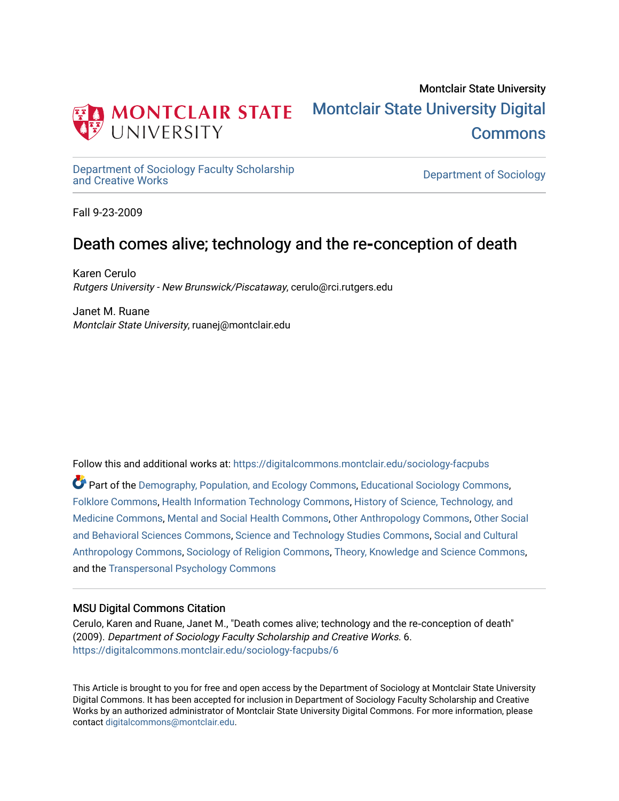

## Montclair State University [Montclair State University Digital](https://digitalcommons.montclair.edu/)  [Commons](https://digitalcommons.montclair.edu/)

[Department of Sociology Faculty Scholarship](https://digitalcommons.montclair.edu/sociology-facpubs)

Department of Sociology

Fall 9-23-2009

## Death comes alive; technology and the re**‐**conception of death

Karen Cerulo Rutgers University - New Brunswick/Piscataway, cerulo@rci.rutgers.edu

Janet M. Ruane Montclair State University, ruanej@montclair.edu

Follow this and additional works at: [https://digitalcommons.montclair.edu/sociology-facpubs](https://digitalcommons.montclair.edu/sociology-facpubs?utm_source=digitalcommons.montclair.edu%2Fsociology-facpubs%2F6&utm_medium=PDF&utm_campaign=PDFCoverPages)

Part of the [Demography, Population, and Ecology Commons,](http://network.bepress.com/hgg/discipline/418?utm_source=digitalcommons.montclair.edu%2Fsociology-facpubs%2F6&utm_medium=PDF&utm_campaign=PDFCoverPages) [Educational Sociology Commons,](http://network.bepress.com/hgg/discipline/1071?utm_source=digitalcommons.montclair.edu%2Fsociology-facpubs%2F6&utm_medium=PDF&utm_campaign=PDFCoverPages) [Folklore Commons,](http://network.bepress.com/hgg/discipline/321?utm_source=digitalcommons.montclair.edu%2Fsociology-facpubs%2F6&utm_medium=PDF&utm_campaign=PDFCoverPages) [Health Information Technology Commons](http://network.bepress.com/hgg/discipline/1239?utm_source=digitalcommons.montclair.edu%2Fsociology-facpubs%2F6&utm_medium=PDF&utm_campaign=PDFCoverPages), [History of Science, Technology, and](http://network.bepress.com/hgg/discipline/500?utm_source=digitalcommons.montclair.edu%2Fsociology-facpubs%2F6&utm_medium=PDF&utm_campaign=PDFCoverPages)  [Medicine Commons](http://network.bepress.com/hgg/discipline/500?utm_source=digitalcommons.montclair.edu%2Fsociology-facpubs%2F6&utm_medium=PDF&utm_campaign=PDFCoverPages), [Mental and Social Health Commons](http://network.bepress.com/hgg/discipline/709?utm_source=digitalcommons.montclair.edu%2Fsociology-facpubs%2F6&utm_medium=PDF&utm_campaign=PDFCoverPages), [Other Anthropology Commons,](http://network.bepress.com/hgg/discipline/324?utm_source=digitalcommons.montclair.edu%2Fsociology-facpubs%2F6&utm_medium=PDF&utm_campaign=PDFCoverPages) [Other Social](http://network.bepress.com/hgg/discipline/437?utm_source=digitalcommons.montclair.edu%2Fsociology-facpubs%2F6&utm_medium=PDF&utm_campaign=PDFCoverPages)  [and Behavioral Sciences Commons,](http://network.bepress.com/hgg/discipline/437?utm_source=digitalcommons.montclair.edu%2Fsociology-facpubs%2F6&utm_medium=PDF&utm_campaign=PDFCoverPages) [Science and Technology Studies Commons](http://network.bepress.com/hgg/discipline/435?utm_source=digitalcommons.montclair.edu%2Fsociology-facpubs%2F6&utm_medium=PDF&utm_campaign=PDFCoverPages), [Social and Cultural](http://network.bepress.com/hgg/discipline/323?utm_source=digitalcommons.montclair.edu%2Fsociology-facpubs%2F6&utm_medium=PDF&utm_campaign=PDFCoverPages)  [Anthropology Commons](http://network.bepress.com/hgg/discipline/323?utm_source=digitalcommons.montclair.edu%2Fsociology-facpubs%2F6&utm_medium=PDF&utm_campaign=PDFCoverPages), [Sociology of Religion Commons](http://network.bepress.com/hgg/discipline/1365?utm_source=digitalcommons.montclair.edu%2Fsociology-facpubs%2F6&utm_medium=PDF&utm_campaign=PDFCoverPages), [Theory, Knowledge and Science Commons,](http://network.bepress.com/hgg/discipline/432?utm_source=digitalcommons.montclair.edu%2Fsociology-facpubs%2F6&utm_medium=PDF&utm_campaign=PDFCoverPages) and the [Transpersonal Psychology Commons](http://network.bepress.com/hgg/discipline/1388?utm_source=digitalcommons.montclair.edu%2Fsociology-facpubs%2F6&utm_medium=PDF&utm_campaign=PDFCoverPages)

### MSU Digital Commons Citation

Cerulo, Karen and Ruane, Janet M., "Death comes alive; technology and the re‐conception of death" (2009). Department of Sociology Faculty Scholarship and Creative Works. 6. [https://digitalcommons.montclair.edu/sociology-facpubs/6](https://digitalcommons.montclair.edu/sociology-facpubs/6?utm_source=digitalcommons.montclair.edu%2Fsociology-facpubs%2F6&utm_medium=PDF&utm_campaign=PDFCoverPages) 

This Article is brought to you for free and open access by the Department of Sociology at Montclair State University Digital Commons. It has been accepted for inclusion in Department of Sociology Faculty Scholarship and Creative Works by an authorized administrator of Montclair State University Digital Commons. For more information, please contact [digitalcommons@montclair.edu](mailto:digitalcommons@montclair.edu).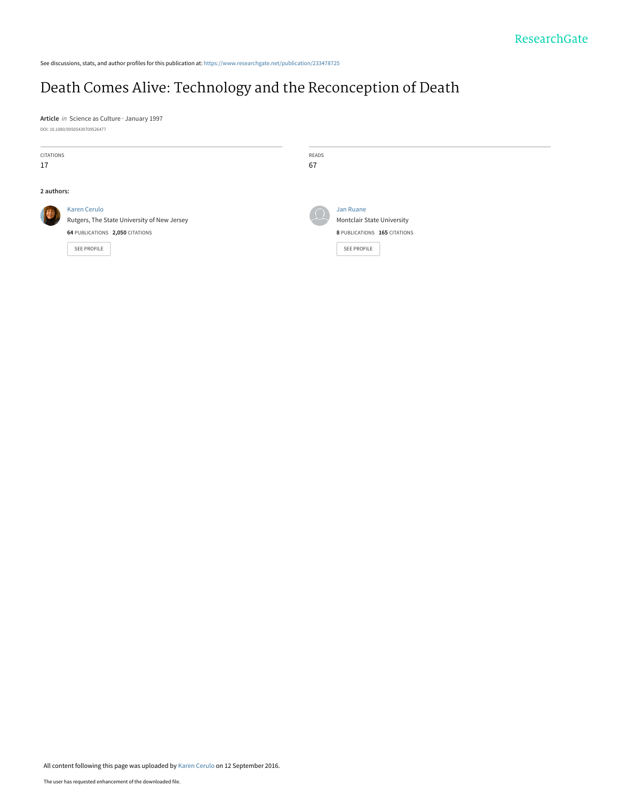See discussions, stats, and author profiles for this publication at: [https://www.researchgate.net/publication/233478725](https://www.researchgate.net/publication/233478725_Death_Comes_Alive_Technology_and_the_Reconception_of_Death?enrichId=rgreq-94d5c8a308ec0087d4c2a9d37c3bd519-XXX&enrichSource=Y292ZXJQYWdlOzIzMzQ3ODcyNTtBUzo0MDU2MTI4MzY5OTkxNjhAMTQ3MzcxNzA0NDgzMQ%3D%3D&el=1_x_2&_esc=publicationCoverPdf)

## [Death Comes Alive: Technology and the Reconception of Death](https://www.researchgate.net/publication/233478725_Death_Comes_Alive_Technology_and_the_Reconception_of_Death?enrichId=rgreq-94d5c8a308ec0087d4c2a9d37c3bd519-XXX&enrichSource=Y292ZXJQYWdlOzIzMzQ3ODcyNTtBUzo0MDU2MTI4MzY5OTkxNjhAMTQ3MzcxNzA0NDgzMQ%3D%3D&el=1_x_3&_esc=publicationCoverPdf)

**Article** in Science as Culture · January 1997 DOI: 10.1080/09505439709526477

| CITATIONS<br>17                                       |                                                                                | READS<br>67 |                                                                   |
|-------------------------------------------------------|--------------------------------------------------------------------------------|-------------|-------------------------------------------------------------------|
| 2 authors:<br><b>Karen Cerulo</b><br><b>Jan Ruane</b> |                                                                                |             |                                                                   |
|                                                       | Rutgers, The State University of New Jersey<br>64 PUBLICATIONS 2,050 CITATIONS |             | <b>Montclair State University</b><br>8 PUBLICATIONS 165 CITATIONS |
|                                                       | SEE PROFILE                                                                    |             | <b>SEE PROFILE</b>                                                |

All content following this page was uploaded by [Karen Cerulo](https://www.researchgate.net/profile/Karen_Cerulo?enrichId=rgreq-94d5c8a308ec0087d4c2a9d37c3bd519-XXX&enrichSource=Y292ZXJQYWdlOzIzMzQ3ODcyNTtBUzo0MDU2MTI4MzY5OTkxNjhAMTQ3MzcxNzA0NDgzMQ%3D%3D&el=1_x_10&_esc=publicationCoverPdf) on 12 September 2016.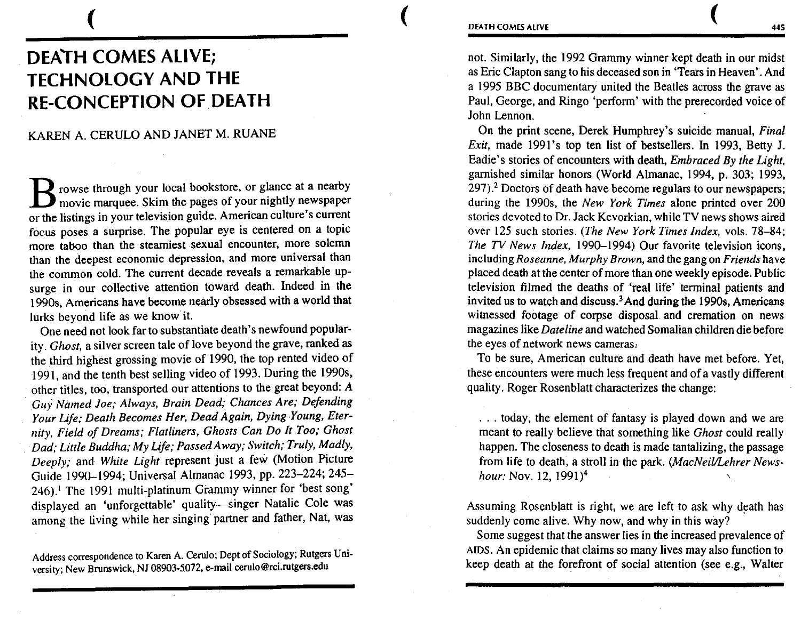## **DEAIH COMES ALIVE; TECHNOLOGY AND THE RE-CONCEPTION OF DEATH**

(

## KAREN A. CERULO AND JANET M. RUANE

**B** rowse through your local bookstore, or glance at a nearby movie marquee. Skim the pages of your nightly newspaper or the listings in your television guide. American culture's current focus poses a surprise. The popular eye is centered on a topic more taboo than the steamiest sexual encounter, more solemn than the deepest economic depression, and more universal than the common cold. The current decade reveals a remarkable upsurge in our collective attention toward death. Indeed in the 1990s, Americans have become nearly obsessed with a world that lurks beyond life as we know it.

One need not look farto substantiate death's newfound popularity. *Ghost,* a silver screen tale of love beyond the grave, ranked as the third highest grossing movie of 1990, the top rented video of 1991, and the tenth best selling video of 1993. During the 1990s, other titles, too, transported our attentions to the great beyond: A *(]uy' Named Joe; Always, Brain Dead; Chances Are; Defending Your Life; Death Becomes Her, Dead Again, Dying Young, Eternity, Field of Dreams; Flatliners, Ghosts Can Do It Too; Ghost Dad; Little Buddha; My Life; Passed Away; Switch; Truly, Madly, Deeply;* and *White Light* represent just a few (Motion Picture Guide 1990-1994; Universal Almanac 1993, pp. 223-224; 245-246).1 The 1991 multi-platinum Grammy winner for 'best song' displayed an 'unforgettable' quality-singer Natalie Cole was among the living while her singing partner and father, Nat, was

Address correspondence to Karen A. Cerulo; Dept of Sociology; Rutgers University; New Brunswick, NJ 08903-5072, e-mail cerulo@rci.rutgers.edu

not. Similarly, the 1992 Grammy winner kept death in our midst as Eric Clapton sang to his deceased son in 'Tears in Heaven'. And a 1995 BBC documentary united the Beatles across the grave as Paul, George, and Ringo 'perform' with the prerecorded voice of John Lennon.

On the print scene, Derek Humphrey's suicide manual, *Final Exit,* made 1991's top ten list of bestsellers. In 1993, Betty J. Eadie's stories of encounters with death, *Embraced By the Light,*  garnished similar honors (World Almanac, 1994, p. 303; 1993, 297).2 Doctors of death have become regulars to our newspapers; during the 1990s, the *New York Times* alone printed over 200 stories devoted to Dr. Jack Kevorkian, while TV news shows aired over 125 such stories. *(The New York Times Index,* vols. 78-84; *The TV News Index, 1990*-1994) Our favorite television icons, including *Roseanne, Murphy Brown,* and the gang on *Friends* have placed death at the center of more than one weekly episode. Public television filmed the deaths of 'real life' terminal patients and invited us to watch and discuss. 3 And during the 1990s, Americans witnessed footage of corpse disposal and cremation on news magazines like *Dateline* and watched Somalian children die before the eyes of network news cameras,

To be sure, American culture and death have met before. Yet, these encounters were much less frequent and of a vastly different quality. Roger Rosenblatt characterizes the change:

... today, the element of fantasy is played down and we are meant to really believe that something like *Ghost* could really happen. The closeness to death is made tantalizing, the passage from life to death, a stroll in the park. *(MacNeil/Lehrer Newshour:* Nov. 12, 1991)<sup>4</sup>

Assuming Rosenblatt is right, we are left to ask why death has suddenly come alive. Why now, and why in this way?

Some suggest that the answer lies in the increased prevalence of AIDS. An epidemic that claims so many lives may also function to keep death at the forefront of social attention (see e.g., Walter

 $\begin{array}{ccc} \begin{array}{ccc} \end{array} & & \end{array}$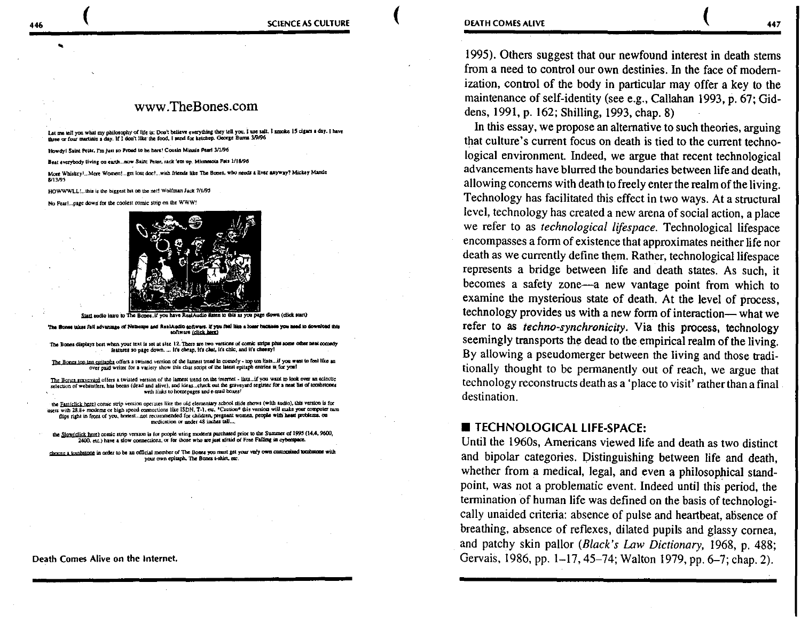## www .TheBones.com

Let me tell you what my philosophy of life is: Don't believe everything they tell you. I use salt. I smoke 15 cigars a day. I have three or four martinis a day. If I don't like the food, I send for ketchup. George Bums 3/9/96

Howdy! Saint Poler, I'm just so Proud to be here! Cousin Minnie Pearl 3/1/96

Beat everybody living on earth...now Saint Peter, rack 'em up. Minnesota Fats 1/18/96

More Whiskey!... More Women!... get lost doc!... with friends like The Bones, who needs a liver anyway? Mickey Mantle  $8/13/95$ 

HOWWWLL!...this is the biggest hit on the net! Wolfman Jack 7/1/95

No Fear!...page down for the coolest comic strip on the WWW!



SlaU audio IIWO to

The flunes takes full advantage of Netacape and RealAudio software. if you feel like a loser because you meed to download this

The Bones displays best when your text is set at size 12. There are two versions of comic strips plus some other neal comedy features so page down. ... It's cheap, it's chat, it's chic, and it's cheesy!

The Bones top ten epitaphs offers a twisted version of the lamest tread in comedy - top ten lists. If you want to feel like an over paid writer for a variety show this cbat script of the latest epitaph entries is for you!

The Bones gravevard offers a twisted version of the lamest trend on the imernet - lists...if you want to look over an eclectic selection of websurfers, has becns (dead and alive), and ideas... check out the graveyard register for a neat list of tombstones with links to homepages and e-mail boxes!

the Fasticlick here) contic strip version operates like the old elementary school slide shows (with audio), this version is for users with 28.8+ modems or bigh speed connections like ISDN, T-1, etc. \*Caution\* this version will make your computer turn flips right in front of you, honest... not recommended for children, pregnant women, people with heart problems, on medication or under 48 inches tail...

the Slow(click here) comic strip version is for people using modems purchased prior to the Summer of 1995 (14.4, 9600, 2400. etc.) have a slow connections, or for those who are just afraid of Free Falling in cyberspace.

choose a tombstone in order to be an official member of The Bones you must get your very own customized tombstone with your own epitaph. The Bones t-shirt, etc.

Death Comes Alive on the Internet.

1995). Others suggest that our newfound interest in death stems from a need to control our own destinies. In the face of modernization, control of the body in particular may offer a key to the maintenance of self-identity (see e.g., Callahan 1993, p. 67; Giddens, 1991, p. 162; Shilling, 1993, chap. 8)

In this essay, we propose an alternative to such theories, arguing that culture's current focus on death is tied to the current technological environment. Indeed, we argue that recent technological advancements have blurred the boundaries between life and death, allowing concerns with death to freely enter the realm of the living. Technology has facilitated this effect in two ways. At a structural level, technology has created a new arena of social action, a place we refer to as *technological lifespace.* Technological lifespace encompasses a form of existence that approximates neither life nor death as we currently define them. Rather, technological lifespace represents a bridge between life and death states. As such, it becomes a safety zone-a new vantage point from which to examine the mysterious state of death. At the level of process, technology provides us with a new form of interaction- what we refer to as *techno-synchronicity*. Via this process, technology seemingly transports the dead to the empirical realm of the living. By allowing a pseudomerger between the living and those traditionally thought to be permanently out of reach, we argue that technology reconstructs death as a 'place to visit' rather than a final . destination.

### **TECHNOLOGICAL LIFE-SPACE:**

Until the 1960s, Americans viewed life and death as two distinct and bipolar categories. Distinguishing between life and death, whether from a medical, legal, and even a philosophical standpoint, was not a problematic event. Indeed until this period, the termination of human life was defined on the basis of technologically unaided criteria: absence of pulse and heartbeat, absence of breathing, absence of reflexes, dilated pupils and glassy cornea, and patchy skin pallor *(Black's Law Dictionary,* 1968, p. 488; Gervais, 1986, pp. 1-17, 45-74; Walton 1979, pp. 6-7; chap. 2).

..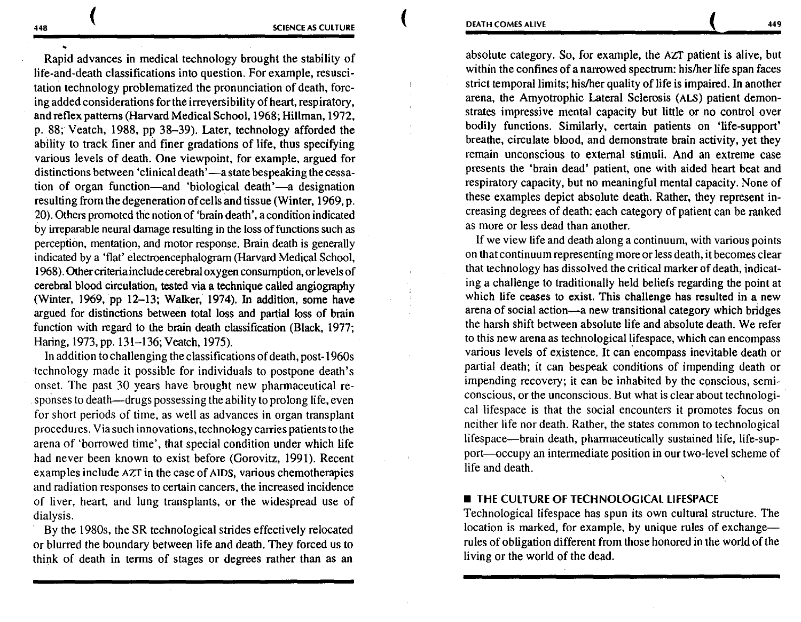• Rapid advances in medical technology brought the stability of life-and-death classifications into question. For example, resuscitation technology problematized the pronunciation of death, forcing added considerations for the irreversibility of heart, respiratory, and reflex patterns (Harvard Medical School, 1968; Hillman, 1972, p. 88; Veatch, 1988, pp 38-39). Later, technology afforded the ability to track finer and finer gradations of life, thus specifying various levels of death. One viewpoint, for example, argued for distinctions between 'clinical death'—a state bespeaking the cessation of organ function—and 'biological death'—a designation resulting from the degeneration of cells and tissue (Winter, 1969, p. 20). Others promoted the notion of 'brain death', a condition indicated by irreparable neural damage resulting in the loss of functions such as perception, mentation, and motor response. Brain death is generally indicated by a 'flat' electroencephalogram (Harvard Medical School, 1968). Other criteria include cerebral oxygen consumption, or levels of cerebral blood circulation, tested via a technique called angiography (Winter, 1969, pp 12-13; Walker, 1974). In addition, some have argued for distinctions between total loss and partial loss of brain function with regard to the brain death classification (Black, 1977; Haring, 1973, pp. 131-136; Veatch, 1975).

In addition to challenging the classifications of death, post-1960s technology made it possible for individuals to postpone death's onset. The past 30 years have brought new pharmaceutical re- . spo.nses to death-drugs possessing the ability to prolong life, even for short periods of time, as well as advances in organ transplant procedures. Via such innovations, technology carries patients to the arena of 'borrowed time', that special condition under which life had never been known to exist before (Gorovitz, 1991). Recent examples include AZf in the case of AIDS, various chemotherapies and radiation responses to certain cancers. the increased incidence of liver, heart, and lung transplants, or the widespread use of dialysis.

By the 1980s, the SR technological strides effectively relocated or blurred the boundary between life and death. They forced us to think of death in terms of stages or degrees rather than as an

absolute category. So, for example, the AZf patient is alive, but within the confines of a narrowed spectrum: his/her life span faces strict temporal limits; his/her quality of life is impaired. In another arena, the Amyotrophic Lateral Sclerosis (ALS) patient demonstrates impressive mental capacity but little or no control over bodily functions. Similarly, certain patients on 'life-support' breathe, circulate blood, and demonstrate brain activity, yet they remain unconscious to external stimuli. And an extreme case presents the 'brain dead' patient, one with aided heart beat and respiratory capacity, but no meaningful mental capacity. None of these examples depict absolute death. Rather, they represent increasing degrees of death; each category of patient can be ranked as more or less dead than another.

If we view life and death along a continuum, with various points on that continuum representing more or less death, it becomes clear that technology has dissolved the critical marker of death, indicating a challenge to traditionally held beliefs regarding the point at which life ceases to exist. This challenge has resulted in a new arena of social action—a new transitional category which bridges the harsh shift between absolute life and absolute death. We refer to this new arena as technological lifespace, which can encompass various levels of existence. It can encompass inevitable death or partial death; it can bespeak conditions of impending death or impending recovery; it can be inhabited by the conscious, semiconscious, or the unconscious. But what is clear about technological lifespace is that the social encounters it promotes focus on neither life nor death. Rather, the states common to technological lifespace-brain death, pharmaceutically sustained life, life-support-occupy an intermediate position in our two-level scheme of life and death.

### **THE CULTURE OF TECHNOLOGICAL LIFESPACE**

Technological lifespace has spun its own cultural structure. The location is marked, for example, by unique rules of exchange-rules of obligation different from those honored in the world of the living or the world of the dead.

448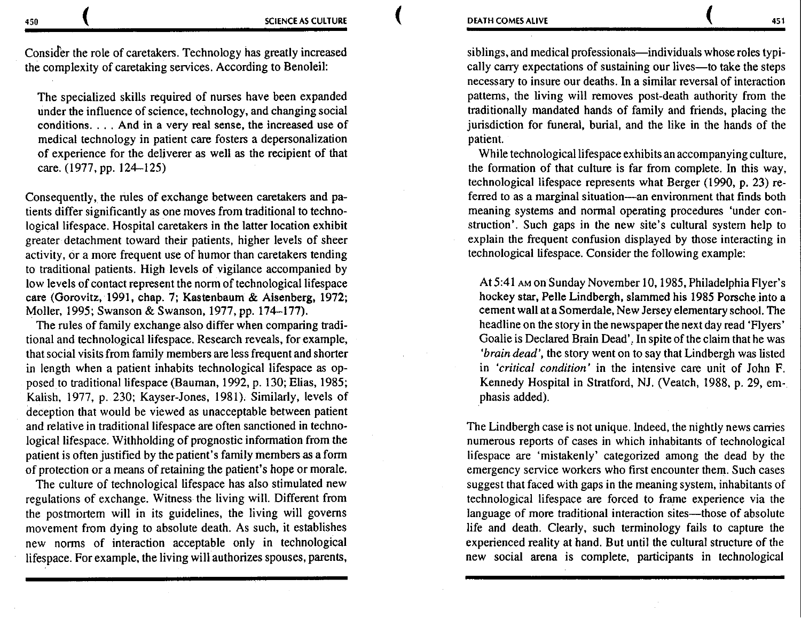Consider the role of caretakers. Technology has greatly increased the complexity of caretaking services. According to Benoleil:

The specialized skills required of nurses have been expanded under the influence of science, technology, and changing social conditions .... And in a very real sense, the increased use of medical technology in patient care fosters a depersonalization of experience for the deliverer as well as the recipient of that care.(l977,pp. 124-125)

Consequently, the rules of exchange between caretakers and patients differ significantly as one moves from traditional to technological lifespace. Hospital caretakers in the latter location exhibit greater detachment toward their patients, higher levels of sheer activity, or a more frequent use of humor than caretakers tending to traditional patients. High levels of vigilance accompanied by low levels of contact represent the norm of technological lifespace care (Gorovitz, 1991, chap. 7; Kastenbaum & Aisenberg, 1972; Moller, 1995; Swanson & Swanson, 1977, pp. 174-177).

The rules of family exchange also differ when comparing traditional and technologicallifespace. Research reveals, for example, that social visits from family members are less frequent and shorter in length when a patient inhabits technological lifespace as opposed to traditional lifespace (Bauman, 1992, p. 130; Elias, 1985; Kalish, 1977, p. 230; Kayser-Jones, 1981). Similarly, levels of deception that would be viewed as unacceptable between patient and relative in traditional lifespace are often sanctioned in technological lifespace. Withholding of prognostic information from the patient is often justified by the patient's family members as a form of protection or a means of retaining the patient's hope or morale.

The culture of technological lifespace has also stimulated new regulations of exchange. Witness the living will. Different from the postmortem will in its guidelines, the living will governs movement from dying to absolute death. As such, it establishes new norms of interaction acceptable only in technological lifespace. For example, the living will authorizes spouses, parents,

siblings, and medical professionals—individuals whose roles typically carry expectations of sustaining our lives-to take the steps necessary to insure our deaths. In a similar reversal of interaction patterns, the living will removes post-death authority from the traditionally mandated hands of family and friends, placing the jurisdiction for funeral, burial, and the like in the hands of the patient.

While technological lifespace exhibits an accompanying culture, the formation of that culture is far from complete. In this way, technological lifespace represents what Berger (1990, p. 23) referred to as a marginal situation—an environment that finds both meaning systems and normal operating procedures 'under construction'. Such gaps in the new site's cultural system help to explain the frequent confusion displayed by those interacting in technological lifespace. Consider the following example:

At 5:41 AM on Sunday November 10, 1985, Philadelphia Flyer's hockey star, Pelle Lindbergh, slammed his 1985 Porsche into a cement wall at a Somerdale, New Jersey elementary school. The headline on the story in the newspaper the next day read 'Flyers' Goalie is Declared Brain Dead', In spite of the claim that he was *'brain dead',* the story went on to say that Lindbergh was listed in *'critical condition'* in the intensive care unit of John F. Kennedy Hospital in Stratford, NJ. (Veatch, 1988, p. 29, emphasis added).

The Lindbergh case is not unique. Indeed, the nightly news carries numerous reports of cases in which inhabitants of technological lifespace are 'mistakenly' categorized among the dead by the emergency service workers who first encounter them. Such cases suggest that faced with gaps in the meaning system, inhabitants of technological lifespace are forced to frame experience via the language of more traditional interaction sites—those of absolute life and death. Clearly, such terminology fails to capture the experienced reality at hand. But until the cultural structure of the new social arena is complete, participants in technological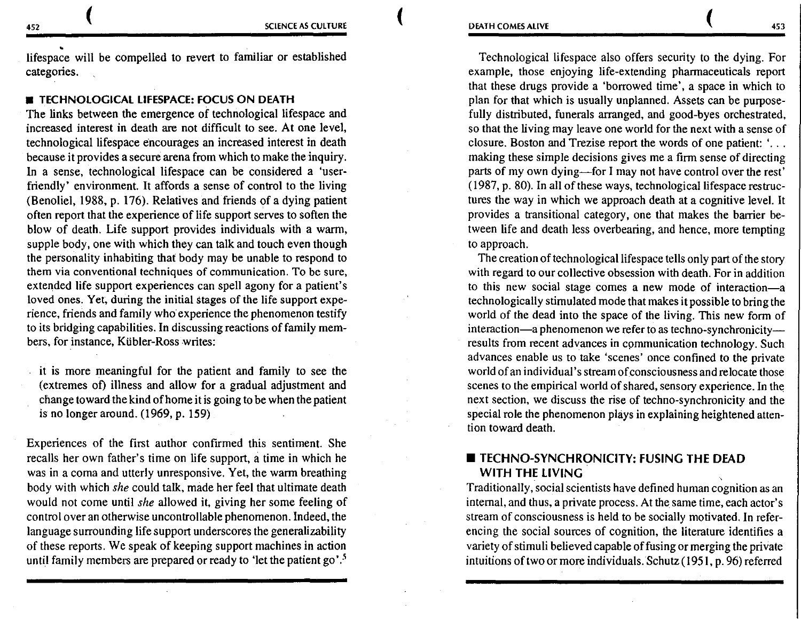• lifespace will be compelled to revert to familiar or established categories.

#### **E TECHNOLOGICAL LIFESPACE: FOCUS ON DEATH**

The links between the emergence of technological lifespace and increased interest in death are not difficult to see. At one level, technological lifespace encourages an increased interest in death because it provides a secure arena from which to make the inquiry. In a sense, technological lifespace can be considered a 'userfriendly' environment. It affords a sense of control to the living (Benoliel, 1988, p. 176). Relatives and friends of a dying patient often report that the experience of life support serves to soften the blow of death. Life support provides individuals with a warm, supple body, one with which they can talk and touch even though the personality inhabiting that body may be unable to respond to them via conventional techniques of communication. To be sure, extended life support experiences can spell agony for a patient's loved ones. Yet, during the initial stages of the life support experience, friends and family who experience the phenomenon testify to its bridging capabilities. In discussing reactions of family members, for instance, Kiibler-Ross writes:

it is more meaningful for the patient and family to see the (extremes of) illness and allow for a gradual adjustment and change toward the kind ofhome it is going to be when the patient is no longer around. (1969, p. 159)

Experiences of the first author confrrmed this sentiment. She recalls her own father's time on life support, a time in which he was in a coma and utterly unresponsive. Yet, the warm breathing body with which *she* could talk, made her feel that ultimate death would not come until *she* allowed it, giving her some feeling of control over an otherwise uncontrollable phenomenon. Indeed, the language surrounding life support underscores the generalizability of these reports. We speak of keeping support machines in action until family members are prepared or ready to 'let the patient go'.<sup>5</sup>

Technological lifespace also offers security to the dying. For example, those enjoying life-extending pharmaceuticals report that these drugs provide a 'borrowed time', a space in which to plan for that which is usually unplanned. Assets can be purposefully distributed, funerals arranged, and good-byes orchestrated, so that the living may leave one world for the next with a sense of closure. Boston and Trezise report the words of one patient: '... making these simple decisions gives me a firm sense of directing parts of my own dying—for I may not have control over the rest' ( $1987$ , p. 80). In all of these ways, technological lifespace restructures the way in which we approach death at a cognitive level. It provides a transitional category, one that makes the barrier between life and death less overbearing, and hence, more tempting to approach.

The creation of technological lifespace tells only part of the story with regard to our collective obsession with death. For in addition to this new social stage comes a new mode of interaction-a technologically stimulated mode that makes it possible to bring the world of the dead into the space of the living. This new form of interaction—a phenomenon we refer to as techno-synchronicity results from recent advances in communication technology. Such advances enable us to take 'scenes' once confined to the private world of an individual's stream of consciousness and relocate those scenes to the empirical world of shared, sensory experience. In the next section, we discuss the rise of techno-synchronicity and the special role the phenomenon plays in explaining heightened attention toward death.

## **E TECHNO-SYNCHRONICITY: FUSING THE DEAD** WITH THE LIVING

Traditionally, social scientists have defined human cognition as an internal, and thus, a private process. At the same time, each actor's stream of consciousness is held to be socially motivated. In referencing the social sources of cognition, the literature identifies a variety of stimuli believed capable of fusing or merging the private intuitions of two or more individuals. Schutz (1951, p. 96) referred

452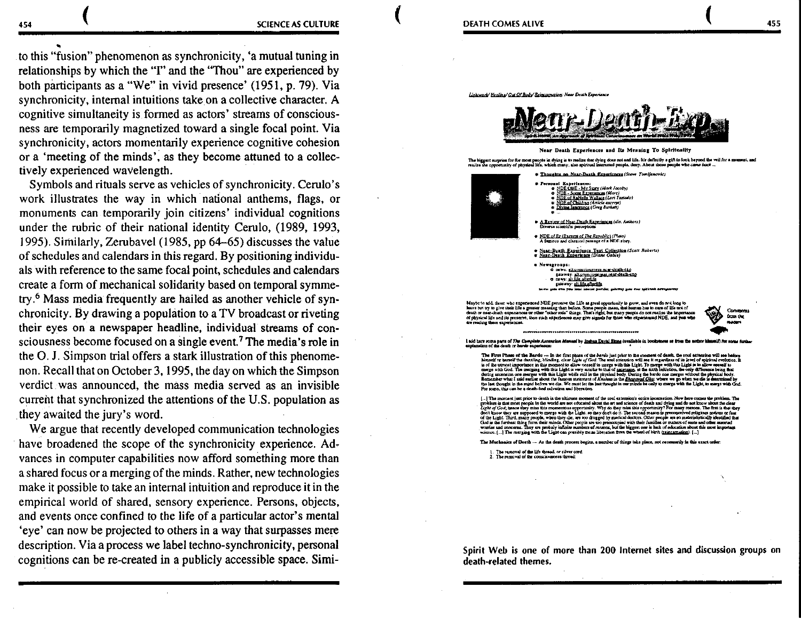to this "fusion" phenomenon as synchronicity, 'a mutual tuning in relationships by which the "I" and the "Thou" are experienced by both participants as a "We" in vivid presence' (1951, p. 79). Via synchronicity, internal intuitions take on a collective character. A cognitive simultaneity is formed as actors' streams of consciousness are temporarily magnetized toward a single focal point. Via synchronicity, actors momentarily experience cognitive cohesion or a 'meeting of the minds', as they become attuned to a collectively experienced wavelength.

Symbols and rituals serve as vehicles of synchronicity. Cerulo's work illustrates the way in which national anthems, flags, or monuments can temporarily join citizens' individual cognitions under the rubric of their national identity Cerulo, (1989, 1993, 1995). Similarly, Zerubavel (1985, pp 64-65) discusses the value of schedules and calendars in this regard. By positioning individuals with reference to the same focal point, schedules and calendars create a form of mechanical solidarity based on temporal symmetry.6 Mass media frequently are hailed as another vehicle of synchronicity. By drawing a population to a TV broadcast or riveting their eyes on a newspaper headline, individual streams of consciousness become focused on a single event.<sup>7</sup> The media's role in the 0. J. Simpson trial offers a stark illustration of this phenomenon. Recall that on October 3, 1995, the day on which the Simpson verdict was announced, the mass media served as an invisible current that synchronized the attentions of the U.S. population as they awaited the jury's word.

We argue that recently developed communication technologies have broadened the scope of the synchronicity experience. Advances in computer capabilities now afford something more than a shared focus or a merging of the minds. Rather, new technologies make it possible to take an internal intuition and reproduce it in the empirical world of shared, sensory experience. Persons, objects, and events once confined to the life of a particular actor's mental 'eye' can now be projected to others in a way that surpasses mere description. Via a process we label techno-synchronicity, personal cognitions can be re-created in a publicly accessible space. SimiLishtwork/Healing/Out Of Body/Reincarnation: Near Death Ex



Near Death Experiences and Its Meaning To Spirituality

The biggest surprise for for most people in dying is to realize that dying does not end life. It's definitly a gift to look beyond the veil for a moment,<br>realize the opportunity of physical life, which many, also spiritual

\* Thoughts on Near-Death Experiences (Steve Tomijenovic)

saul Experiences:<br>• <u>NDE OBE - My Surey (</u>Mark Jacoby)<br>• <u>NDE - Some Experiences</u> (Marc)<br>• <u>NDE of BaNelle Wallace</u> (Lori Tastado)<br>• <u>NDE of Chikling (A</u>ricle excerps) Divine Innocence (Greg Burkett)

A Review of Near-Death Experiences (div. Authors) Diverse scientific perceptions

**INDE of Er (Excerns of The** *Republic***) (Plaso)**<br>A famous and classical passage of a NDF: story.

\* Nuar-Duath Experience Text Collection (Scott Roberts)<br>\* Near-Death Experience (Diane Goble)

9 Nowsgroups:<br>
0 mews: <u>alternocionsman, mer-deuth-exp</u><br>
faiswey: <u>alternocionsman, mer-deuth-exp</u><br>
0 mews: <u>alternocionsman</u> gatoway all life afterlife

Maybe to add those who superiorised MDE precise the Life a great opportunity to grow, and avec bot loog to add the section of the section of the section of the section of the section of the section of the section of the se of physical life and its preserve, thou such experiences may give signals for those who experienced NDE, and you ...



hiractif or barrel the dazzling, blinding, clear light of God. The solar control on till set it expected to the level of the burst of the barrel in the solar state. It is not also control to allow control to allow control

[...] The moment just prior to death is the ultimate moment of the soul extension's entire incarnation. Now here comes the problem. The Noted the mean popular the women on community. Why do they must have concerned by the maxy resona. The first is the they<br>don't how they are supposed to merge with the Light, so they do the first shirt opportunity? For many was a ce tennes that the maximum conserved by the section construction was compared to make the compared was imported.<br>Warries and concerns. They are probable include purplers of respons, but the biggers one is hack of edu

The Mechanics of Death -- As the death process begins, a number of things take place, not neon

I. The removal of the life thread, or silver cord.<br>2. The removal of the consciousness thread:

Spirit Web is one of more than 200 Internet sites and discussion groups on death-related themes.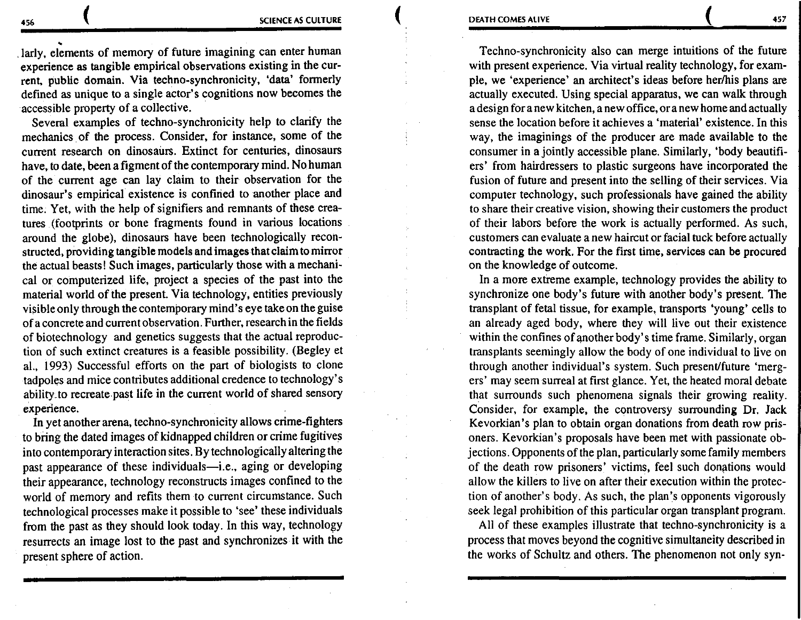larly, elements of memory of future imagining can enter human experience as tangible empirical observations existing in the current, public domain. Via techno-synchronicity, 'data' formerly defined as unique to a single actor's cognitions now becomes the accessible property of a collective.

Seveml examples of techno-synchronicity help to clarify the mechanics of the process. Consider, for instance, some of the current research on dinosaurs. Extinct for centuries, dinosaurs have, to date, been a figment of the contemporary mind. No human of the current age can lay claim to their observation for the dinosaur's empirical existence is confined to another place and time: Yet, with the help of signifiers and remnants of these creatures (footprints or bone fmgments found in various locations around the globe), dinosaurs have been technologically reconstructed, providing tangible models and images that claim to mirror the actual beasts! Such images, particularly those with a mechanical or computerized life, project a species of the past into the material world of the present. Via technology, entities previously visible only through the contemporary mind's eye take on the guise of a concrete and current observation. Further, research in the fields of biotechnology and genetics suggests that the actual reproduction of such extinct creatures is a feasible possibility. (Begley et al., 1993) Successful efforts on the part of biologists to clone tadpoles and mice contributes additional credence to technology's ability. to recreate past life in the current world of shared sensory experience.

In yet another arena, techno-synchronicity allows crime-fighters to bring the dated images of kidnapped children or crime fugitives into contemporary interaction sites. By technologically altering the past appearance of these individuals-i.e., aging or developing their appearance, technology reconstructs images confined to the world of memory and refits them to current circumstance. Such technological processes make it possible to 'see' these individuals from the past as they should look today. In this way, technology resurrects an image lost to the past and synchronizes it with the present sphere of action.

Techno-synchronicity also can merge intuitions of the future with present experience. Via virtual reality technology, for example, we 'experience' an architect's ideas before her/his plans are actually executed. Using special apparatus, we can walk through a design for a new kitchen, a new office, or a new home and actually sense the location before it achieves a 'material' existence. In this way, the imaginings of the producer are made available to the consumer in a jointly accessible plane. Similarly, 'body beautifiers' from hairdressers to plastic surgeons have incorpomted the fusion of future and present into the selling of their services. Via computer technology, such professionals have gained the ability to share their creative vision, showing their customers the product of their labors before the work is actually performed. As such, customers can evaluate a new haircut or facial tuck before actually contracting the work. For the first time, services can be procured on the knowledge of outcome.

In a more extreme example, technology provides the ability to synchronize one body's future with another body's present. The transplant of fetal tissue, for example, transports 'young' cells to an already aged body, where they will live out their existence within the confines of another body's time frame. Similarly, organ transplants seemingly allow the body of one individual to live on through another individual's system. Such present/future 'mergers' may seem surreal at first glance. Yet, the heated moral debate that surrounds such phenomena signals their growing reality. Consider, for example, the controversy surrounding Dr. Jack Kevorkian's plan to obtain organ donations from death row prisoners. Kevorkian's proposals have been met with passionate objections. Opponents of the plan, particularly some family members of the death row prisoners' victims, feel such donations would allow the killers to live on after their execution within the protection of another's body. As such, the plan's opponents vigorously seek legal prohibition of this particular organ transplant program.

All of these examples illustrate that techno-synchronicity is a process that moves beyond the cognitive simultaneity described in the works of Schultz and others. The phenomenon not only syn-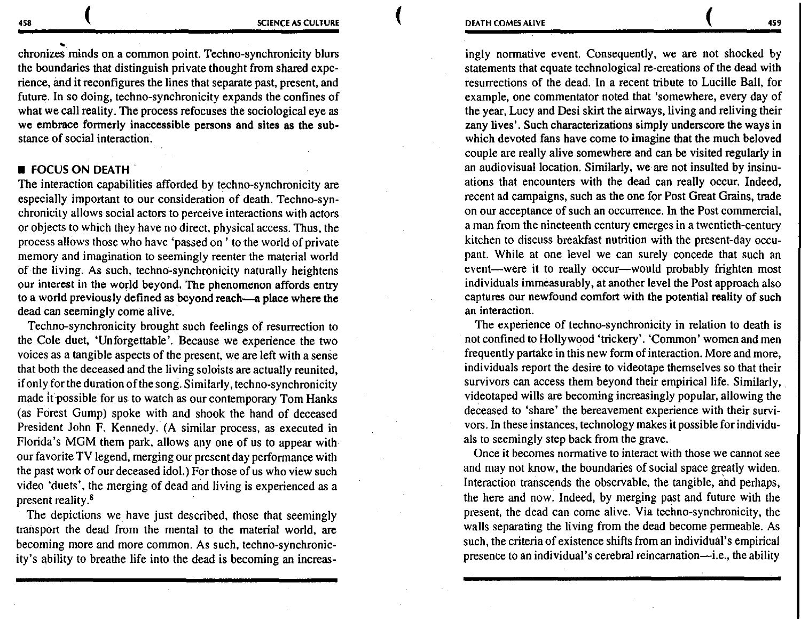.. chronizes minds on a common point. Techno-synchronicity blurs the boundaries that distinguish private thought from shared experience, and it reconfigures the lines that separate past, present, and future. In so doing, techno-synchronicity expands the confines of what we call reality. The process refocuses the sociological eye as we embrace formerly inaccessible persons and sites as the substance of social interaction.

### • FOCUS ON **DEATH** .

The interaction capabilities afforded by techno-synchronicity are especially important to our consideration of death. Techno-synchronicity allows social actors to perceive interactions with actors or objects to which they have no direct, physical access. Thus, the process allows those who have 'passed on ' to the world of private memory and imagination to seemingly reenter the material world of the living. As such, techno-synchronicity naturally heightens our interest in the world beyond. The phenomenon affords entry to a world previously defined as beyond reach-a place where the dead can seemingly come alive.

Techno-synchronicity brought such feelings of resurrection to the Cole duet, 'Unforgettable'. Because we experience the two voices as a tangible aspects of the present, we are left with a sense that both the deceased and the living soloists are actually reunited, if only for the duration of the song. Similarly, techno-synchronicity made it possible for us to watch as our contemporary Tom Hanks (as Forest Gump) spoke with and shook the hand of deceased President John F. Kennedy. (A similar process, as executed in Florida's MOM them park, allows any one of us to appear with our favorite TV legend, merging our present day performance with the past work of our deceased idol.) For those of us who view such video 'duets', the merging of dead and living is experienced as a present reality.<sup>8</sup>

The depictions we have just described, those that seemingly transport the dead from the mental to the material world, are becoming more and more common. As such, techno-synchronicity's ability to breathe life into the dead is becoming an increas-

ingly normative event. Consequently, we are not shocked by statements that equate technological re-creations of the dead with resurrections of the dead. In a recent tribute to Lucille Ball, for example, one commentator noted that 'somewhere, every day of the year, Lucy and Desi skirt the airways, living and reliving their zany lives'. Such characterizations simply underscore the ways in which devoted fans have come to imagine that the much beloved couple are really alive somewhere and can be visited regularly in an audiovisual location. Similarly, we are not insulted by insinuations that encounters with the dead can really occur. Indeed, recent ad campaigns, such as the one for Post Great Grains, trade on our acceptance of such an occurrence. In the Post commercial, a man from the nineteenth century emerges in a twentieth-century kitchen to discuss breakfast nutrition with the present-day occupant. While at one level we can surely concede that such an event-were it to really occur-would probably frighten most individuals immeasurably, at another level the Post approach also captures our newfound comfort with the potential reality of such an interaction.

The experience of techno-synchronicity in relation to death is not confined to Hollywood 'trickery'. 'Common' women and men frequently partake in this new form of interaction. More and more, individuals report the desire to videotape themselves so that their survivors can access them beyond their empirical life. Similarly, videotaped wills are becoming increasingly popular, allowing the deceased to 'share' the bereavement experience with their survivors. In these instances, technology makes it possible for individuals to seemingly step back from the grave.

Once it becomes normative to interact with those we cannot see and may not know, the boundaries of social space greatly widen. Interaction transcends the observable, the tangible, and perhaps, the here and now. Indeed, by merging past and future with the present, the dead can come alive. Via techno-synchronicity, the walls separating the living from the dead become permeable. As such, the criteria of existence shifts from an individual's empirical presence to an individual's cerebral reincarnation-i.e., the ability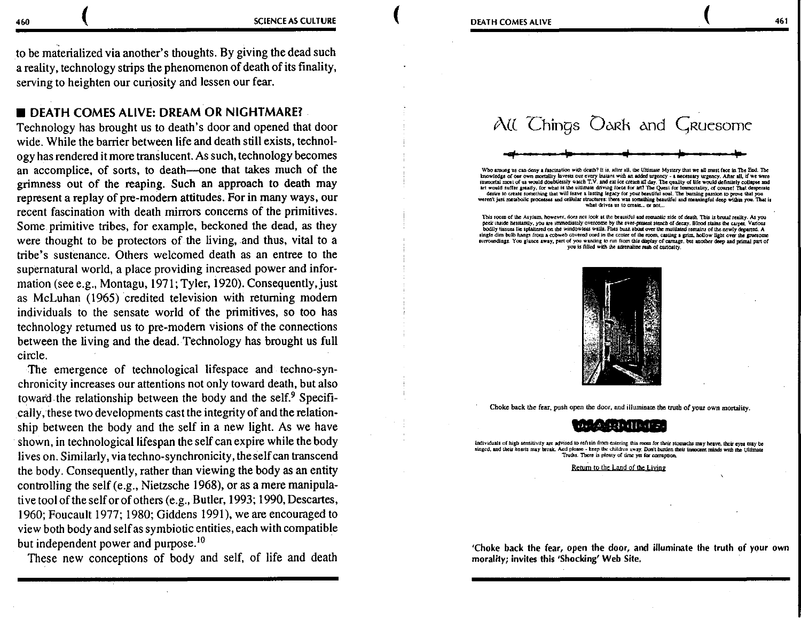to be materialized via another's thoughts. By giving the dead such a reality, technology strips the phenomenon of death of its finality, serving to heighten our curiosity and lessen our fear.

## **DEATH COMES ALIVE: DREAM OR NIGHTMARE?**

Technology has brought us to death's door and opened that door wide. While the barrier between life and death still exists, technology has rendered it more translucent. As such, technology becomes an accomplice, of sorts, to death-one that takes much of the grimness out of the reaping. Such an approach to death may represent a replay of pre-modem attitudes. For in many ways, our recent fascination with death mirrors concerns of the primitives. Some primitive tribes, for example, beckoned the dead, as they were thought to be protectors of the living, and thus, vital to a tribe's sustenance. Others welcomed death as an entree to the supernatural world, a place providing increased power and information (see e.g., Montagu, 1971; Tyler, 1920). Consequently, just as McLuhan (1965) credited television with returning modem individuals to the sensate world of the primitives, so too has technology returned us to pre-modem visions of the connections between the living and the dead. Technology has brought us full circle.

The emergence of technological lifespace and techno-synchronicity increases our attentions not only toward death, but also toward the relationship between the body and the self.<sup>9</sup> Specifically, these two developments cast the integrity of and the relationship between the body and the self in a new light. As we have shown, in technological lifespan the self can expire while the body lives on. Similarly, via techno-synchronicity, the self can transcend the body. Consequently, rather than viewing the body as an entity controlling the self (e.g., Nietzsche 1968), or as a mere manipulative tool of the self or of others (e.g., Butler, 1993; 1990, Descartes, 1960; Foucault 1977; 1980; Giddens 1991), we are encouraged to view both body and self as symbiotic entities, each with compatible but independent power and purpose.<sup>10</sup>

These new conceptions of body and self, of life and death

## $\Delta$ ( $\ell$  Chings Oark and Gruesome

# ~- --- .-...L......\_ ------- \_.....&.\_\_\_ --------'---- -- --- \_.\_ ....- -- ---~ -- -- <sup>~</sup>-- -- -.-- ------~

Who among us can deny a fascination with death? It is, after all, the Ultimate Mystery that we all must face in The End. The<br>knowledge of our own mortality invests our every instant with an added urgency - a necessary urge itmmortal most of us would doubtlessly watch T.V. and eat ice cream all day. The quality of Ufe would definitely collapse and art would suffer greatly, for what is the ultimate driving force for art? The Quest for lumnortality, of course! That desperate desire to create something that will leave a lasting legacy for your beautiful soul. The burning passion to prove that you weren't just metabolic processes and cellular structures: there was something beautiful and meaningful deep within you. That is<br>what drives us 10 create... or not...

This room of the Asylum. however, does not look at the beautiful and romantic side of death. This is brutal reality. As you peek inside hesitanuly, you are immediately overcome by the ever-present stench of decay. Blood stains the carpet. Various<br>bodily tissues lie splattered on the windowless wills. Files buzz about over the mutilated remains single dim bulb hangs from a cobweb covered cord in the center of the room, casting a grim, hollow light over the gruesome rurroundings. You glance away, part of you wanting to run from this display of carnage, but another deep and primal part of <sup>volu</sup> is filled with the adrenaline reah of curiosity.



Choke back the fear, push open the door, and illuminate the truth of your own mortality.

### ,). *t.* ~·4·di' <sup>d</sup>:-

Individuals of high sensitivity are advised to refrain from entering this room for their stomachs may heave, their eyes may be singed, and their hearts may break. And plcase • keep the children away. Don't burden their innocent minds with the Ultimate Truths. There is plenty of time yet for corraption.

Return to the Land of the Living

'Choke back the fear, open the door, and illuminate the truth of your own morality; invites this 'Shocking' Web Site.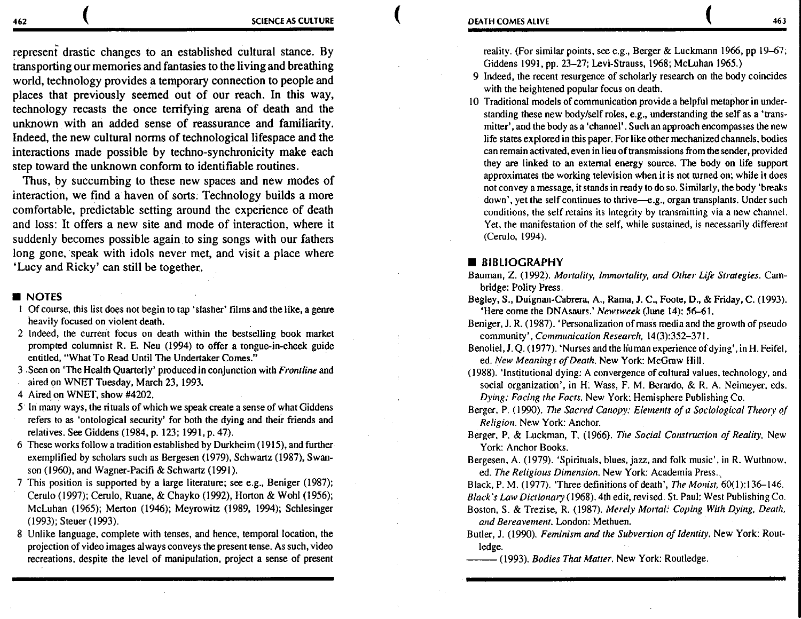represent drastic changes to an established cultural stance. By transporting our memories and fantasies to the living and breathing world, technology provides a temporary connection to people and places that previously seemed out of our reach. In this way, technology recasts the once terrifying arena of death and the unknown with an added sense of reassurance and familiarity. Indeed, the new cultural norms of technological lifespace and the interactions made possible by techno-synchronicity make each step toward the unknown conform to identifiable routines.

Thus, by succumbing to these new spaces and new modes of interaction, we find a haven of sorts. Technology builds a more comfortable, predictable setting around the experience of death and loss: It offers a new site and mode of interaction, where it suddenly becomes possible again to sing songs with our fathers long gone, speak with idols never met, and visit a place where 'Lucy and Ricky' can still be together.

#### **UNOTES**

- I Of course, this list does not begin to tap 'slasher' films and the like, a genre heavily focused on violent death.
- 2 Indeed, the current focus on death within the bestselling book market prompted columnist R. E. Neu (1994) to offer a tongue-in-cheek guide entitled, "What To Read Until The Undertaker Comes."
- 3 . Seen on 'The Health Quarterly' produced in conjunction with *Frontline* and aired on WNET Tuesday, March 23, 1993.

4 Aired on WNET, show #4202.

- *5* · In many ways, the rituals of which we speak create a sense of what Giddens refers to as 'ontological security' for both the dying and their friends and relatives. See Giddens (1984, p. 123; 1991, p. 47).
- 6 These works follow a tradition established by Durkheim (1915), and further exemplified by scholars such as Bergesen (1979), Schwartz (1987), Swanson (1960), and Wagner-Pacifi & Schwartz (1991).
- 7 This position is supported by a large literature; see e.g., Beniger (1987); Cerulo (1997); Cerulo, Ruane, & Chayko (1992), Horton & Wohl (1956); McLuhan (1965); Merton (1946); Meyrowitz (1989, 1994); Schlesinger (1993); Steuer (1993).
- 8 Unlike language, complete with tenses, and hence, temporal location, the projection of video images always conveys the present tense. As such, video recreations, despite the level of manipulation, project a sense of present

reality. (For similar points, see e.g., Berger & Luckmann 1966, pp 19-67; Giddens 1991, pp. 23-27; Levi-Strauss, 1968; McLuhan 1965.)

- 9 Indeed, the recent resurgence of scholarly research on the body coincides with the heightened popular focus on death.
- 10 Traditional models of communication provide a helpful metaphor in understanding these new body/self roles, e.g., understanding the self as a 'transmitter', and the body as a 'channel'. Such an approach encompasses the new life states explored in this paper. For like other mechanired channels, bodies can remain activated, even in lieu of transmissions from the sender, provided they are linked to an external energy source. The body on life support approximates the working television when it is not turned on; while it does not convey a message, it stands in ready to do so. Similarly, the body 'breaks down', yet the self continues to thrive-e.g., organ transplants. Under such conditions, the self retains its integrity by transmitting via a new channel. Yet, the manifestation of the self, while sustained, is necessarily different (Cerulo, 1994).

#### **BIBLIOGRAPHY**

- Bauman, Z. (1992). *Mortality, Immortality, and Other Ufe Strategies.* Cambridge: Polity Press .
- Begley, S., Duignan-Cabrera, A., Rama, J. C., Foote, D., & Friday, C. (1993). 'Here come the DNAsaurs.' *Newsweek* (June 14): 56-61.
- Beniger, J. R. ( 1987). 'Personalization of mass media and the growth of pseudo community', *Communication Research,* l4(3):352-37I.
- Benoliel, J. Q. (1977). 'Nurses and the h'uman experience of dying', in H. Feifel, ed. *New Meanings of Death.* New York: McGraw Hill.
- (1988). 'Institutional dying: A convergence of cultural values, technology, and social organization', in H. Wass, F. M. Berardo, & R. A. Neimeyer, eds. *Dying: Facing the Facts.* New York: Hemisphere Publishing Co.
- Berger, P. (1990). *The Sacred Canopy: Elements of a Sociological Theory of Religion.* New York: Anchor.
- Berger, P. & Luckman, T. (I966). *The Social Construction of Reality.* New York: Anchor Books.
- Bergesen, A. (1979). 'Spirituals, blues, jazz, and folk music', in R. Wuthnow, ed. *The Religious Dimension.* New York: Academia Press.,

Black, P. M. (1977). 'Three definitions of death', *The Monist,* 60(I ):I36-146. *Black's Law Dictionary* (1968). 4th edit, revised. St. Paul: West Publishing Co. Boston, S. & Trezise, R. (I987). *Merely Mortal.' Coping With Dying, Death, and Bereavement.* London: Methuen.

- Butler, J. (1990). *Feminism and the Subversion of Identity*. New York: Routledge.<br>
----------- (1993). *Bodies That Matter*. New York: Routledge. ledge.
-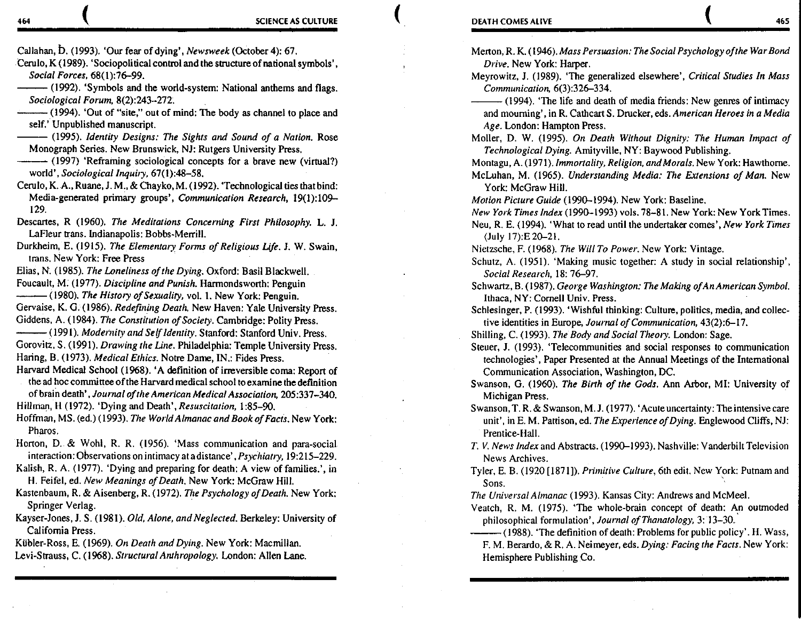Callahan, b. (1993). 'Our fear of dying', *Newsweek* (October 4): 67.

- Cerulo, K (1989). 'Sociopolitical control and the structure of national symbols',<br>
Social Forces, 68(1):76-99.<br>
(1992). 'Symbols and the world-system: National anthems and flags.<br>
Sociological Forum 8(2):243.272 *Social Forces,* 68(1):7&-99.
- *SOt;iological Forum,* 8(2):243-272. (1992). 'Symbols and the world-system: National anthems and flags.<br>Sociological Forum, 8(2):243-272.<br>(1994). 'Out of "site," out of mind: The body as channel to place and<br>self ' Unpublished manuscript
- self.' Unpublished manuscript. --(1995). *Identity Designs: The Sights and Sound of a Nation.* Rose
- Monograph Series. New Brunswick, NJ: Rutgers University Press. --(1995). *Identity Designs: The Sights and Sound of a Nation*. Rose onograph Series. New Brunswick, NJ: Rutgers University Press.<br>-- (1997) 'Reframing sociological concepts for a brave new (virtual?)
- world', *Sociological lnquity.* 67(1):48-58.
- Cerulo, K. A., Ruane, J. M., & Chayko, M. ( 1992). 'Technological ties that bind: Media-generated primary groups', *Communication Research*, 19(1):109-129.
- Descartes, R (1960). *The Meditations Concerning First Philosophy.* L. J. LaFleur trans. Indianapolis: Bobbs-Merrill.
- Durkheim, E. (1915). *The Elementary Forms of Religious Life*, J. W. Swain, trans. New York: Free Press
- 
- Elias, N. (1985). *The Loneliness of the Dying*. Oxford: Basil Blackwell.<br>Foucault, M. (1977). *Discipline and Punish*. Harmondsworth: Penguin.<br>(1980). *The History of Sexuality*, vol. 1. New York: Penguin.<br>Gervaise, K. G. Foucault, M. (1977). *Discipline and Punish.* Harrnondsworth: Penguin
- Gervaise, K. G. (1986). *Redefining Death*. New Haven: Yale University Press. Giddens, A. (1984). *The Constitution of Society.* Cambridge: Polity Press.
- --(1991). *Modetnity and Self Identity.* Stanford: Stanford Univ. Press. Gorovitz, S. (1991). *Drawing the Une.* Philadelphia: Temple University Press.
- Haring, B. (1973). *Medical Ethics.* Notre Dame, IN.: Fides Press.
- Harvard Medical School (1968). A definition of irreversible coma: Report of the ad hoc committee of the Harvard medical school to examine the definition of brain death', *Journal of the American Medical Association,* 205:337-340.
- Hillman, H (1972). 'Dying and Death', *Resuscitation,* I :85-90.
- Hoffman, MS. (ed.) (1993). *The World Almanac and Book of Facts.* New York: Pharos.
- Horton, D. & Wahl, R. R. (1956). 'Mass communication and para-social interaction: Observations on intimacy at a distance', *Psychiatry,* 19:215-229.
- Kalish, R. A. (1977). 'Dying and preparing for death: A view of families.', in H. Feifel, ed. *New Meanings of Death.* New York: McGraw Hill.
- Kastenbaum, R. & Aisenberg, R. ( 1972). *The Psychology of Death.* New York: Springer Verlag.
- Kayser-Janes, J. S. (1981). *Old, Alone, and Neglected.* Berkeley: University of California Press.

Kübler-Ross, E. (1969). *On Death and Dying*. New York: Macmillan. Levi-Strauss, C. (1968). *Structural Anthropology.* London: Allen Lane.

- Merton, R. K. ( 1946). *Mass Persuasion: The Social Psychology of the War Bond Drive.* New York: Harper.
- Meyrowitz, J. (1989). 'The generalized elsewhere', *Critical Studies In Mass Communication,* 6(3):32&-334.
	- $-$  (1994). 'The life and death of media friends: New genres of intimacy and mourning', in R. Cathcart S. Drucker, eds. American Heroes in a Media *Age.* London: Hampton Press.
- Moller, D. W. (1995). *On Death Without Dignity: The Human Impact of Technological Dying.* Amityville, NY: Baywood Publishing.
- Montagu, A. (1971 *).Immortality, Religion, and Morals.* New York: Hawthorne. McLuhan, M. (1965). *Understanding Media: The Extensions of Man.* New York: McGraw Hill.
- *Motion Picture Guide* (1990-1994). New York: Baseline.
- *New York Times Index* (1990-1993) vols. 78-81. New York: New York Times. Neu, R. E. (1994). 'What to read until the undertaker comes', *New York Times*  (July 17):E 20-21.
- Nietzsche, F. (1968). *The Will To Power.* New York: Vintage.
- Schutz, A. (1951). 'Making music together: A study in social relationship', *Social Research,* 18: 7&-97.
- Schwartz, B. ( 1987). *George Washington: The Making of An American Symbol.*  Ithaca. NY: Cornell Univ. Press.
- Schlesinger, P. (1993). 'Wishful thinking: Culture, politics, media, and collective identities in Europe, *Journal of Communication*, 43(2):6-17.
- Shilling, C. (1993). *The Body and Social The01y.* London: Sage.
- Steuer, J. (1993). 'Telecommunities and social responses to communication technologies'. Paper Presented at the Annual Meetings of the International Communication Association, Washington, DC.
- Swanson, G. (1960). *The Bit1h of the Gods.* Ann Arbor, MI: University of Michigan Press.
- Swanson, T. R. & Swanson, M. J. (1977). 'Acute uncertainty: The intensive care unit', in E. M. Pattison, ed. *The Experience of Dying.* Englewood Cliffs, NJ: Prentice-Hall.
- *T. V. News Index* and Abstracts. ( 1990-1993). Nashville: Vanderbilt Television News Archives.
- Tyler, E. B. (1920 [1871]). *Primitive Culture,* 6th edit. New York: Putnam and Sons. The contract of the contract of the contract of the contract of the contract of the contract of the contract of the contract of the contract of the contract of the contract of the contract of the contract of the cont
- *The Universal Almanac* (1993). Kansas City: Andrews and McMeel.
- Veatch, R. M. (1975). 'The whole-brain concept of death: An outmoded philosophical formulation', *Journal of Thanatology,* 3: 13-30.
- $-(1988)$ . 'The definition of death: Problems for public policy'. H. Wass, F. M. Berardo, & R. A. Neimeyer, eds. *Dying: Facing the Facts.* New York: Hemisphere Publishing Co.